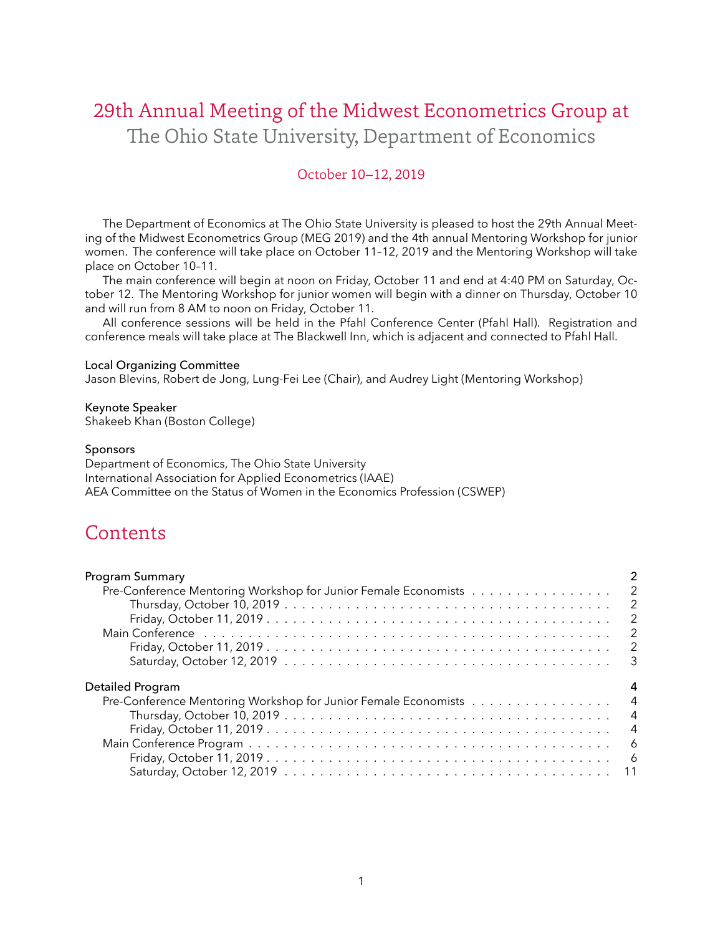# <span id="page-0-0"></span>29th Annual Meeting of the Midwest Econometrics Group at The Ohio State University, Department of Economics

# October 10–12, 2019

The Department of Economics at The Ohio State University is pleased to host the 29th Annual Meeting of the Midwest Econometrics Group (MEG 2019) and the 4th annual Mentoring Workshop for junior women. The conference will take place on October 11–12, 2019 and the Mentoring Workshop will take place on October 10–11.

The main conference will begin at noon on Friday, October 11 and end at 4:40 PM on Saturday, October 12. The Mentoring Workshop for junior women will begin with a dinner on Thursday, October 10 and will run from 8 AM to noon on Friday, October 11.

All conference sessions will be held in the Pfahl Conference Center (Pfahl Hall). Registration and conference meals will take place at The Blackwell Inn, which is adjacent and connected to Pfahl Hall.

#### Local Organizing Committee

[Jason Blevins,](https://jblevins.org/) [Robert de Jong,](https://www.asc.ohio-state.edu/de-jong.8/) [Lung-Fei Lee](https://economics.osu.edu/people/lee.1777) (Chair), and [Audrey Light](https://economics.osu.edu/people/light.20) (Mentoring Workshop)

Keynote Speaker [Shakeeb Khan](https://sites.google.com/a/bc.edu/shak-homepage/) (Boston College)

#### Sponsors

Department of Economics, The Ohio State University International Association for Applied Econometrics (IAAE) AEA Committee on the Status of Women in the Economics Profession (CSWEP)

# **Contents**

| <b>Program Summary</b>                                           |                            |
|------------------------------------------------------------------|----------------------------|
| Pre-Conference Mentoring Workshop for Junior Female Economists 2 |                            |
|                                                                  | $\overline{\phantom{0}}^2$ |
|                                                                  | $\overline{2}$             |
|                                                                  | $\overline{2}$             |
|                                                                  | $\overline{\phantom{a}}$   |
|                                                                  |                            |
| Detailed Program                                                 |                            |
| Pre-Conference Mentoring Workshop for Junior Female Economists   | $\overline{4}$             |
|                                                                  | $\overline{4}$             |
|                                                                  | $\overline{4}$             |
|                                                                  |                            |
| - 6                                                              |                            |
|                                                                  |                            |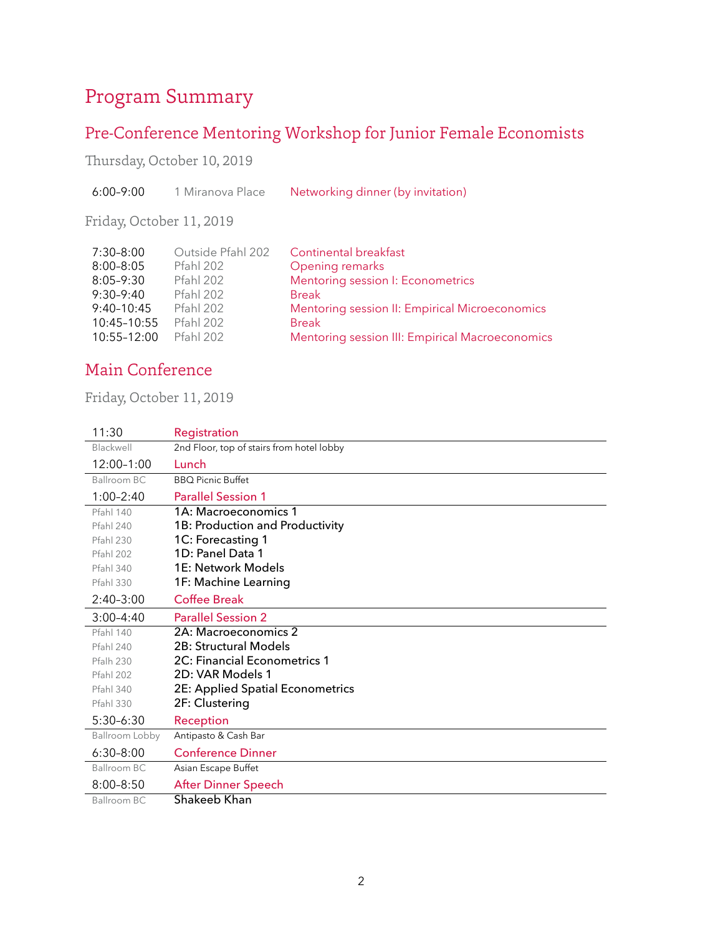# Program Summary

# <span id="page-1-0"></span>Pre-Conference Mentoring Workshop for Junior Female Economists

<span id="page-1-1"></span>Thursday, October 10, 2019

<span id="page-1-2"></span>Friday, October 11, 2019

| $7:30 - 8:00$   | Outside Pfahl 202 | <b>Continental breakfast</b>                    |
|-----------------|-------------------|-------------------------------------------------|
| $8:00 - 8:05$   | Pfahl 202         | Opening remarks                                 |
| $8:05 - 9:30$   | Pfahl 202         | Mentoring session I: Econometrics               |
| $9:30-9:40$     | Pfahl 202         | <b>Break</b>                                    |
| $9:40-10:45$    | Pfahl 202         | Mentoring session II: Empirical Microeconomics  |
| 10:45-10:55     | Pfahl 202         | <b>Break</b>                                    |
| $10:55 - 12:00$ | Pfahl 202         | Mentoring session III: Empirical Macroeconomics |

# Main Conference

<span id="page-1-4"></span><span id="page-1-3"></span>Friday, October 11, 2019

| 11:30            | Registration                              |
|------------------|-------------------------------------------|
| Blackwell        | 2nd Floor, top of stairs from hotel lobby |
| $12:00-1:00$     | Lunch                                     |
| Ballroom BC      | <b>BBO Picnic Buffet</b>                  |
| $1:00 - 2:40$    | <b>Parallel Session 1</b>                 |
| Pfahl 140        | 1A: Macroeconomics 1                      |
| Pfahl 240        | 1B: Production and Productivity           |
| <b>Pfahl 230</b> | 1C: Forecasting 1                         |
| Pfahl 202        | 1D: Panel Data 1                          |
| Pfahl 340        | 1E: Network Models                        |
| <b>Pfahl 330</b> | 1F: Machine Learning                      |
| $2:40-3:00$      | Coffee Break                              |
| $3:00 - 4:40$    | <b>Parallel Session 2</b>                 |
| Pfahl 140        | 2A: Macroeconomics 2                      |
| Pfahl 240        | 2B: Structural Models                     |
| Pfalh 230        | <b>2C: Financial Econometrics 1</b>       |
| Pfahl 202        | 2D: VAR Models 1                          |
| Pfahl 340        | 2E: Applied Spatial Econometrics          |
| <b>Pfahl 330</b> | 2F: Clustering                            |
| $5:30-6:30$      | Reception                                 |
| Ballroom Lobby   | Antipasto & Cash Bar                      |
| $6:30 - 8:00$    | <b>Conference Dinner</b>                  |
| Ballroom BC      | Asian Escape Buffet                       |
| $8:00 - 8:50$    | After Dinner Speech                       |
| Ballroom BC      | Shakeeb Khan                              |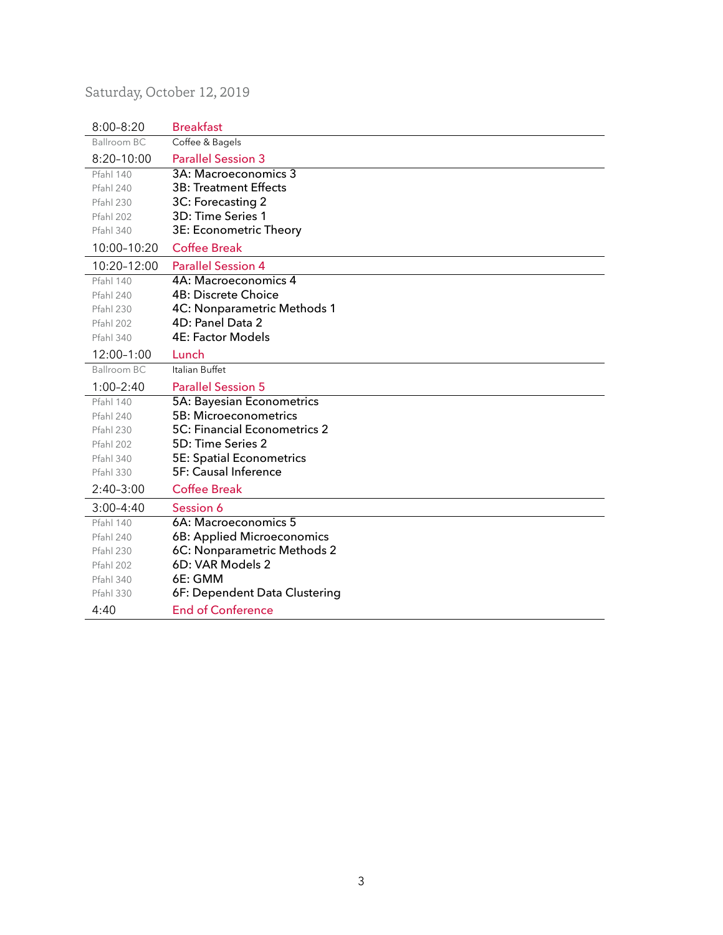# <span id="page-2-0"></span>Saturday, October 12, 2019

| $8:00 - 8:20$      | <b>Breakfast</b>                |
|--------------------|---------------------------------|
| <b>Ballroom BC</b> | Coffee & Bagels                 |
| $8:20 - 10:00$     | <b>Parallel Session 3</b>       |
| Pfahl 140          | 3A: Macroeconomics 3            |
| Pfahl 240          | 3B: Treatment Effects           |
| Pfahl 230          | 3C: Forecasting 2               |
| Pfahl 202          | 3D: Time Series 1               |
| Pfahl 340          | 3E: Econometric Theory          |
| 10:00-10:20        | <b>Coffee Break</b>             |
| 10:20-12:00        | <b>Parallel Session 4</b>       |
| <b>Pfahl 140</b>   | 4A: Macroeconomics 4            |
| Pfahl 240          | <b>4B: Discrete Choice</b>      |
| Pfahl 230          | 4C: Nonparametric Methods 1     |
| Pfahl 202          | 4D: Panel Data 2                |
| Pfahl 340          | <b>4E: Factor Models</b>        |
| 12:00-1:00         | Lunch                           |
| Ballroom BC        | Italian Buffet                  |
| $1:00 - 2:40$      | <b>Parallel Session 5</b>       |
| Pfahl 140          | 5A: Bayesian Econometrics       |
| Pfahl 240          | 5B: Microeconometrics           |
| <b>Pfahl 230</b>   | 5C: Financial Econometrics 2    |
| Pfahl 202          | 5D: Time Series 2               |
| Pfahl 340          | <b>5E: Spatial Econometrics</b> |
| Pfahl 330          | <b>5F: Causal Inference</b>     |
| $2:40-3:00$        | <b>Coffee Break</b>             |
| $3:00 - 4:40$      | Session 6                       |
| Pfahl 140          | 6A: Macroeconomics 5            |
| Pfahl 240          | 6B: Applied Microeconomics      |
| Pfahl 230          | 6C: Nonparametric Methods 2     |
| Pfahl 202          | 6D: VAR Models 2                |
| Pfahl 340          | 6E: GMM                         |
| Pfahl 330          | 6F: Dependent Data Clustering   |
| 4:40               | <b>End of Conference</b>        |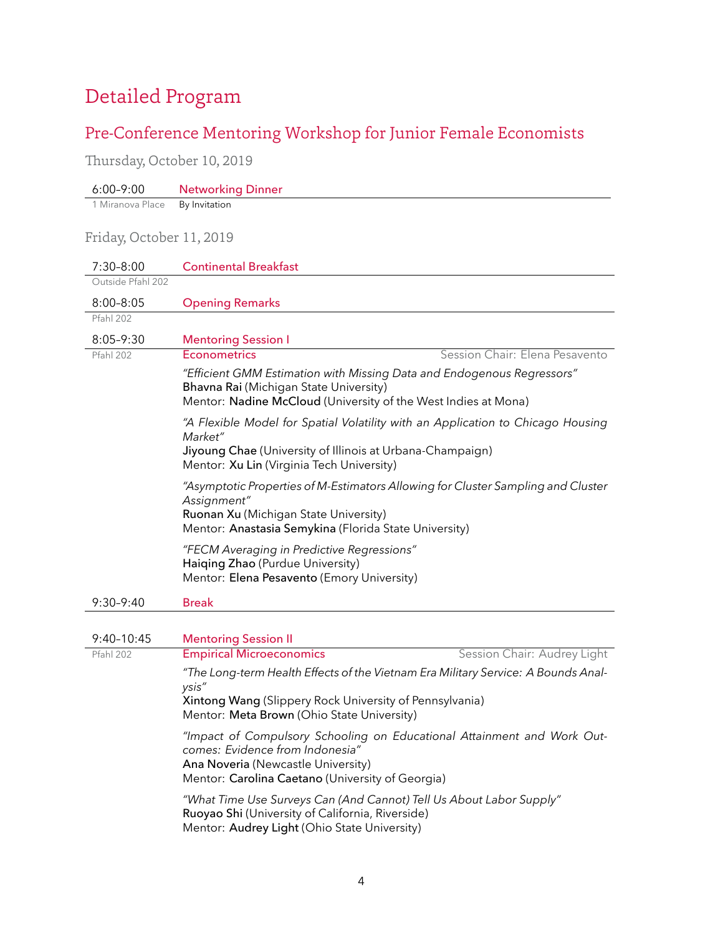# Detailed Program

# <span id="page-3-0"></span>Pre-Conference Mentoring Workshop for Junior Female Economists

<span id="page-3-1"></span>Thursday, October 10, 2019

<span id="page-3-2"></span>

| $6:00 - 9:00$            | <b>Networking Dinner</b>                                                                                                                                                                             |
|--------------------------|------------------------------------------------------------------------------------------------------------------------------------------------------------------------------------------------------|
| 1 Miranova Place         | By Invitation                                                                                                                                                                                        |
| Friday, October 11, 2019 |                                                                                                                                                                                                      |
| $7:30 - 8:00$            | <b>Continental Breakfast</b>                                                                                                                                                                         |
| Outside Pfahl 202        |                                                                                                                                                                                                      |
| $8:00 - 8:05$            | <b>Opening Remarks</b>                                                                                                                                                                               |
| Pfahl 202                |                                                                                                                                                                                                      |
| $8:05 - 9:30$            | <b>Mentoring Session I</b>                                                                                                                                                                           |
| Pfahl 202                | Session Chair: Elena Pesavento<br><b>Econometrics</b>                                                                                                                                                |
|                          | "Efficient GMM Estimation with Missing Data and Endogenous Regressors"<br>Bhavna Rai (Michigan State University)<br>Mentor: Nadine McCloud (University of the West Indies at Mona)                   |
|                          | "A Flexible Model for Spatial Volatility with an Application to Chicago Housing<br>Market"<br>Jiyoung Chae (University of Illinois at Urbana-Champaign)<br>Mentor: Xu Lin (Virginia Tech University) |
|                          | "Asymptotic Properties of M-Estimators Allowing for Cluster Sampling and Cluster<br>Assignment"<br>Ruonan Xu (Michigan State University)<br>Mentor: Anastasia Semykina (Florida State University)    |
|                          | "FECM Averaging in Predictive Regressions"<br>Haiging Zhao (Purdue University)<br>Mentor: Elena Pesavento (Emory University)                                                                         |
| $9:30-9:40$              | Break                                                                                                                                                                                                |
| $9:40-10:45$             | <b>Mentoring Session II</b>                                                                                                                                                                          |
| Pfahl 202                | Session Chair: Audrey Light<br><b>Empirical Microeconomics</b>                                                                                                                                       |
|                          | "The Long-term Health Effects of the Vietnam Era Military Service: A Bounds Anal-<br>ysis"<br>Xintong Wang (Slippery Rock University of Pennsylvania)<br>Mentor: Meta Brown (Ohio State University)  |
|                          | "Impact of Compulsory Schooling on Educational Attainment and Work Out-<br>comes: Evidence from Indonesia"<br>Ana Noveria (Newcastle University)<br>Mentor: Carolina Caetano (University of Georgia) |

*"What Time Use Surveys Can (And Cannot) Tell Us About Labor Supply"* Ruoyao Shi (University of California, Riverside) Mentor: Audrey Light (Ohio State University)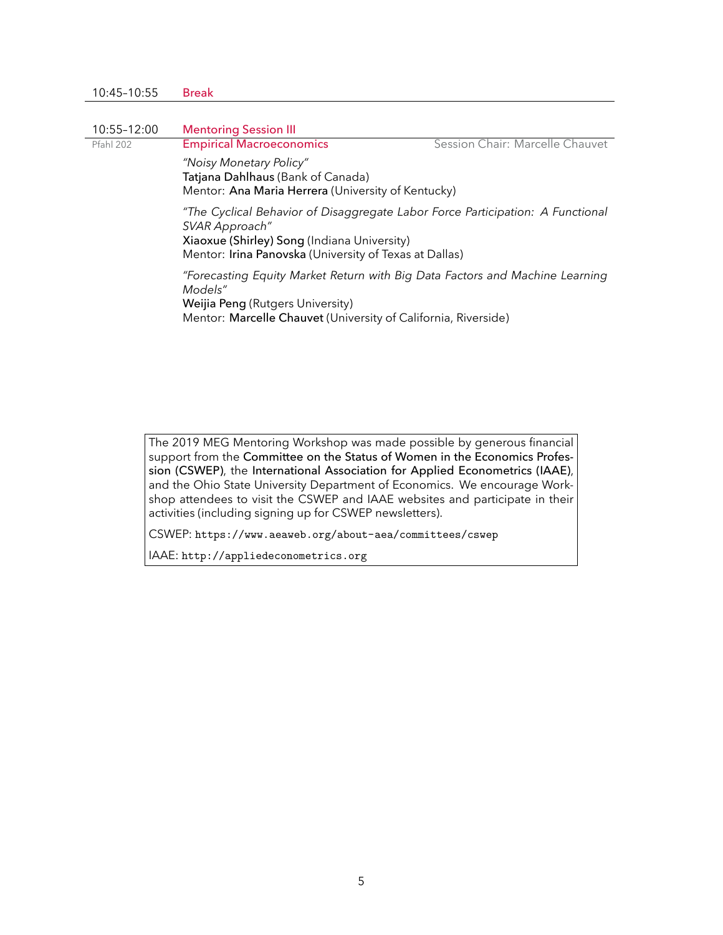| 10:45-10:55 | <b>Break</b>                                                                                                                                                                                              |  |
|-------------|-----------------------------------------------------------------------------------------------------------------------------------------------------------------------------------------------------------|--|
|             |                                                                                                                                                                                                           |  |
| 10:55-12:00 | <b>Mentoring Session III</b>                                                                                                                                                                              |  |
| Pfahl 202   | Session Chair: Marcelle Chauvet<br><b>Empirical Macroeconomics</b>                                                                                                                                        |  |
|             | "Noisy Monetary Policy"<br>Tatjana Dahlhaus (Bank of Canada)<br>Mentor: Ana Maria Herrera (University of Kentucky)                                                                                        |  |
|             | "The Cyclical Behavior of Disaggregate Labor Force Participation: A Functional<br>SVAR Approach"<br>Xiaoxue (Shirley) Song (Indiana University)<br>Mentor: Irina Panovska (University of Texas at Dallas) |  |
|             | "Forecasting Equity Market Return with Big Data Factors and Machine Learning<br>Models"<br>Weijia Peng (Rutgers University)<br>Mentor: Marcelle Chauvet (University of California, Riverside)             |  |

The 2019 MEG Mentoring Workshop was made possible by generous financial support from the Committee on the Status of Women in the Economics Profession (CSWEP), the International Association for Applied Econometrics (IAAE), and the Ohio State University Department of Economics. We encourage Workshop attendees to visit the CSWEP and IAAE websites and participate in their activities (including signing up for CSWEP newsletters).

CSWEP: <https://www.aeaweb.org/about-aea/committees/cswep>

IAAE: <http://appliedeconometrics.org>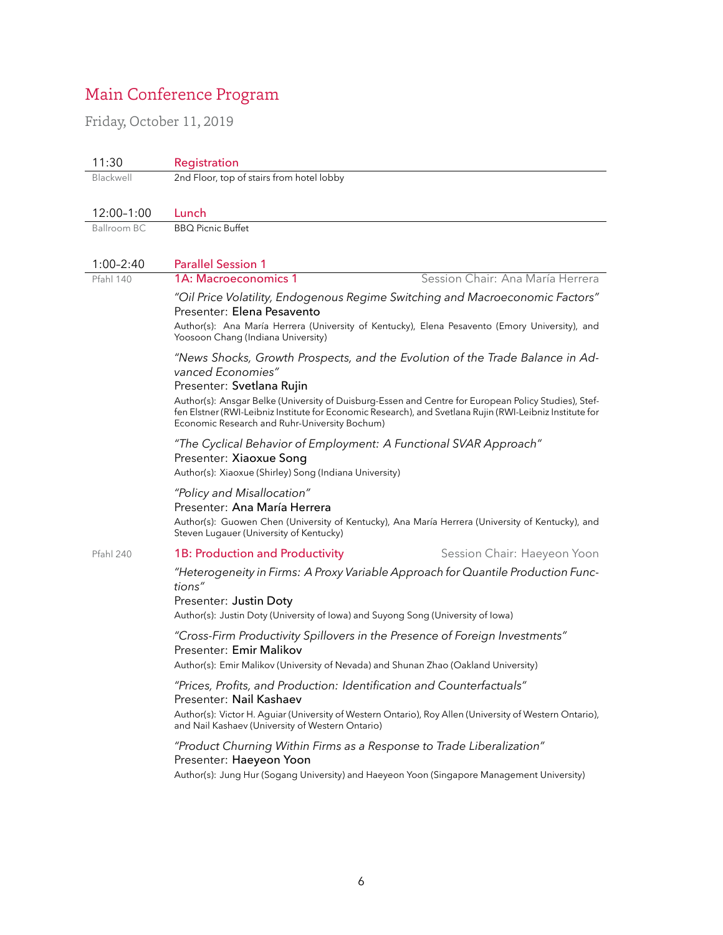# Main Conference Program

<span id="page-5-1"></span><span id="page-5-0"></span>Friday, October 11, 2019

| 11:30                                                                                                                                                     | Registration                                                                                                                                                                                                                                        |  |  |
|-----------------------------------------------------------------------------------------------------------------------------------------------------------|-----------------------------------------------------------------------------------------------------------------------------------------------------------------------------------------------------------------------------------------------------|--|--|
| Blackwell                                                                                                                                                 | 2nd Floor, top of stairs from hotel lobby                                                                                                                                                                                                           |  |  |
|                                                                                                                                                           |                                                                                                                                                                                                                                                     |  |  |
| 12:00-1:00                                                                                                                                                | Lunch                                                                                                                                                                                                                                               |  |  |
| <b>Ballroom BC</b>                                                                                                                                        | <b>BBQ Picnic Buffet</b>                                                                                                                                                                                                                            |  |  |
|                                                                                                                                                           |                                                                                                                                                                                                                                                     |  |  |
| $1:00 - 2:40$                                                                                                                                             | <b>Parallel Session 1</b>                                                                                                                                                                                                                           |  |  |
| Pfahl 140                                                                                                                                                 | Session Chair: Ana María Herrera<br>1A: Macroeconomics 1                                                                                                                                                                                            |  |  |
|                                                                                                                                                           | "Oil Price Volatility, Endogenous Regime Switching and Macroeconomic Factors"<br>Presenter: Elena Pesavento<br>Author(s): Ana María Herrera (University of Kentucky), Elena Pesavento (Emory University), and<br>Yoosoon Chang (Indiana University) |  |  |
|                                                                                                                                                           | "News Shocks, Growth Prospects, and the Evolution of the Trade Balance in Ad-<br>vanced Economies"<br>Presenter: Svetlana Rujin<br>Author(s): Ansgar Belke (University of Duisburg-Essen and Centre for European Policy Studies), Stef-             |  |  |
| fen Elstner (RWI-Leibniz Institute for Economic Research), and Svetlana Rujin (RWI-Leibniz Institute for<br>Economic Research and Ruhr-University Bochum) |                                                                                                                                                                                                                                                     |  |  |
|                                                                                                                                                           | "The Cyclical Behavior of Employment: A Functional SVAR Approach"<br>Presenter: Xiaoxue Song<br>Author(s): Xiaoxue (Shirley) Song (Indiana University)                                                                                              |  |  |
|                                                                                                                                                           | "Policy and Misallocation"<br>Presenter: Ana María Herrera<br>Author(s): Guowen Chen (University of Kentucky), Ana María Herrera (University of Kentucky), and<br>Steven Lugauer (University of Kentucky)                                           |  |  |
| Pfahl 240                                                                                                                                                 | Session Chair: Haeyeon Yoon<br>1B: Production and Productivity                                                                                                                                                                                      |  |  |
|                                                                                                                                                           | "Heterogeneity in Firms: A Proxy Variable Approach for Quantile Production Func-<br>tions"<br>Presenter: Justin Doty<br>Author(s): Justin Doty (University of Iowa) and Suyong Song (University of Iowa)                                            |  |  |
|                                                                                                                                                           | "Cross-Firm Productivity Spillovers in the Presence of Foreign Investments"<br>Presenter: Emir Malikov<br>Author(s): Emir Malikov (University of Nevada) and Shunan Zhao (Oakland University)                                                       |  |  |
|                                                                                                                                                           | "Prices, Profits, and Production: Identification and Counterfactuals"<br>Presenter: Nail Kashaev                                                                                                                                                    |  |  |
|                                                                                                                                                           | Author(s): Victor H. Aguiar (University of Western Ontario), Roy Allen (University of Western Ontario),<br>and Nail Kashaev (University of Western Ontario)                                                                                         |  |  |
|                                                                                                                                                           | "Product Churning Within Firms as a Response to Trade Liberalization"<br>Presenter: Haeyeon Yoon<br>Author(s): Jung Hur (Sogang University) and Haeyeon Yoon (Singapore Management University)                                                      |  |  |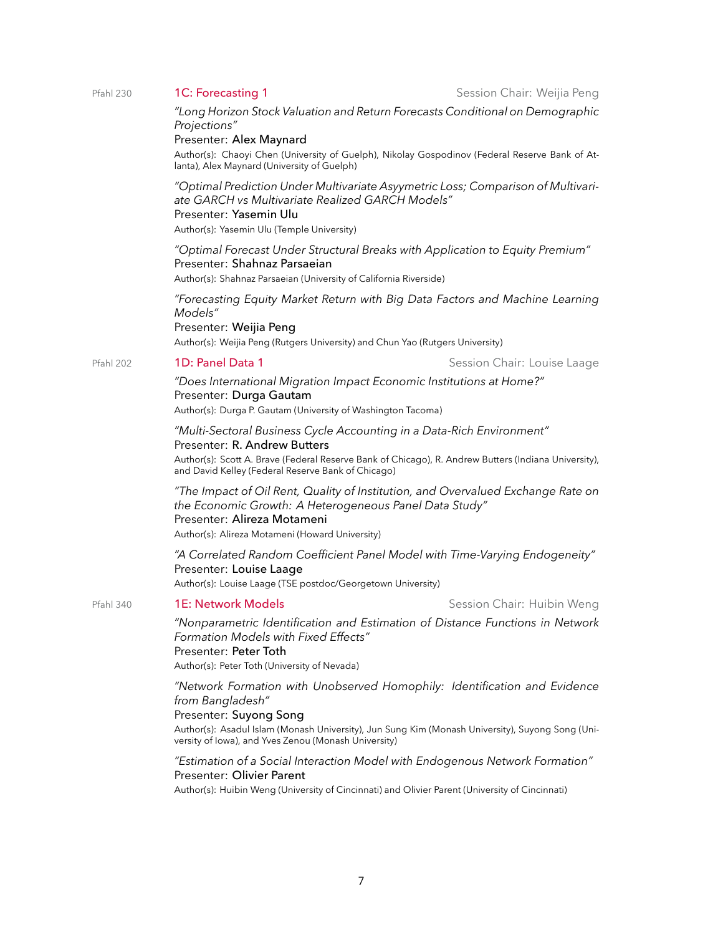Pfahl 230 **1C: Forecasting 1** Session Chair: Weijia Peng

*"Long Horizon Stock Valuation and Return Forecasts Conditional on Demographic Projections"*

#### Presenter: Alex Maynard

Author(s): Chaoyi Chen (University of Guelph), Nikolay Gospodinov (Federal Reserve Bank of Atlanta), Alex Maynard (University of Guelph)

*"Optimal Prediction Under Multivariate Asyymetric Loss; Comparison of Multivariate GARCH vs Multivariate Realized GARCH Models"*

#### Presenter: Yasemin Ulu

Author(s): Yasemin Ulu (Temple University)

*"Optimal Forecast Under Structural Breaks with Application to Equity Premium"* Presenter: Shahnaz Parsaeian

Author(s): Shahnaz Parsaeian (University of California Riverside)

*"Forecasting Equity Market Return with Big Data Factors and Machine Learning Models"* Presenter: Weijia Peng

Author(s): Weijia Peng (Rutgers University) and Chun Yao (Rutgers University)

#### Pfahl 202 1D: Panel Data 1 Session Chair: Louise Laage

*"Does International Migration Impact Economic Institutions at Home?"* Presenter: Durga Gautam Author(s): Durga P. Gautam (University of Washington Tacoma)

*"Multi-Sectoral Business Cycle Accounting in a Data-Rich Environment"*

#### Presenter: R. Andrew Butters

Author(s): Scott A. Brave (Federal Reserve Bank of Chicago), R. Andrew Butters (Indiana University), and David Kelley (Federal Reserve Bank of Chicago)

*"The Impact of Oil Rent, Quality of Institution, and Overvalued Exchange Rate on the Economic Growth: A Heterogeneous Panel Data Study"* Presenter: Alireza Motameni Author(s): Alireza Motameni (Howard University)

*"A Correlated Random Coefficient Panel Model with Time-Varying Endogeneity"* Presenter: Louise Laage Author(s): Louise Laage (TSE postdoc/Georgetown University)

#### Pfahl 340 **1E: Network Models** Session Chair: Huibin Weng

*"Nonparametric Identification and Estimation of Distance Functions in Network Formation Models with Fixed Effects"*

Presenter: Peter Toth

Author(s): Peter Toth (University of Nevada)

*"Network Formation with Unobserved Homophily: Identification and Evidence from Bangladesh"*

#### Presenter: Suyong Song

Author(s): Asadul Islam (Monash University), Jun Sung Kim (Monash University), Suyong Song (University of Iowa), and Yves Zenou (Monash University)

*"Estimation of a Social Interaction Model with Endogenous Network Formation"* Presenter: Olivier Parent

Author(s): Huibin Weng (University of Cincinnati) and Olivier Parent (University of Cincinnati)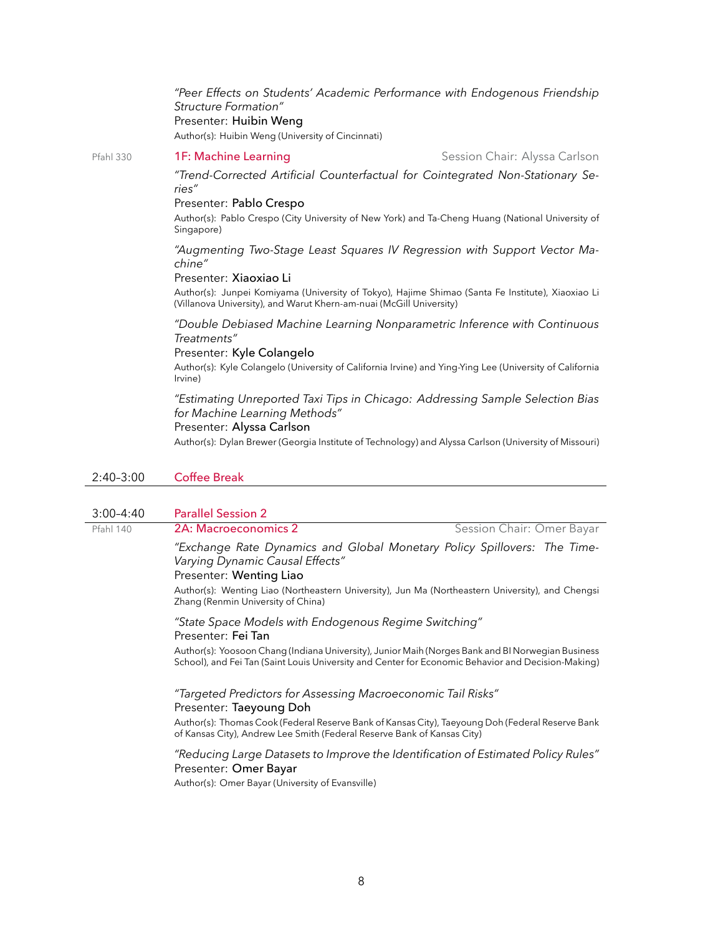*"Peer Effects on Students' Academic Performance with Endogenous Friendship Structure Formation"* Presenter: Huibin Weng Author(s): Huibin Weng (University of Cincinnati)

#### Pfahl 330 **1F: Machine Learning** Session Chair: Alyssa Carlson

*"Trend-Corrected Artificial Counterfactual for Cointegrated Non-Stationary Series"*

#### Presenter: Pablo Crespo

Author(s): Pablo Crespo (City University of New York) and Ta-Cheng Huang (National University of Singapore)

*"Augmenting Two-Stage Least Squares IV Regression with Support Vector Machine"*

#### Presenter: Xiaoxiao Li

Author(s): Junpei Komiyama (University of Tokyo), Hajime Shimao (Santa Fe Institute), Xiaoxiao Li (Villanova University), and Warut Khern-am-nuai (McGill University)

*"Double Debiased Machine Learning Nonparametric Inference with Continuous Treatments"*

#### Presenter: Kyle Colangelo

Author(s): Kyle Colangelo (University of California Irvine) and Ying-Ying Lee (University of California Irvine)

#### *"Estimating Unreported Taxi Tips in Chicago: Addressing Sample Selection Bias for Machine Learning Methods"*

#### Presenter: Alyssa Carlson

Author(s): Dylan Brewer (Georgia Institute of Technology) and Alyssa Carlson (University of Missouri)

#### 2:40–3:00 Coffee Break

#### 3:00–4:40 Parallel Session 2

#### Pfahl 140 **2A: Macroeconomics 2** Session Chair: Omer Bayar

*"Exchange Rate Dynamics and Global Monetary Policy Spillovers: The Time-Varying Dynamic Causal Effects"*

#### Presenter: Wenting Liao

Author(s): Wenting Liao (Northeastern University), Jun Ma (Northeastern University), and Chengsi Zhang (Renmin University of China)

#### *"State Space Models with Endogenous Regime Switching"* Presenter: Fei Tan

Author(s): Yoosoon Chang (Indiana University), Junior Maih (Norges Bank and BI Norwegian Business School), and Fei Tan (Saint Louis University and Center for Economic Behavior and Decision-Making)

#### *"Targeted Predictors for Assessing Macroeconomic Tail Risks"* Presenter: Taeyoung Doh

Author(s): Thomas Cook (Federal Reserve Bank of Kansas City), Taeyoung Doh (Federal Reserve Bank of Kansas City), Andrew Lee Smith (Federal Reserve Bank of Kansas City)

#### *"Reducing Large Datasets to Improve the Identification of Estimated Policy Rules"* Presenter: Omer Bayar

Author(s): Omer Bayar (University of Evansville)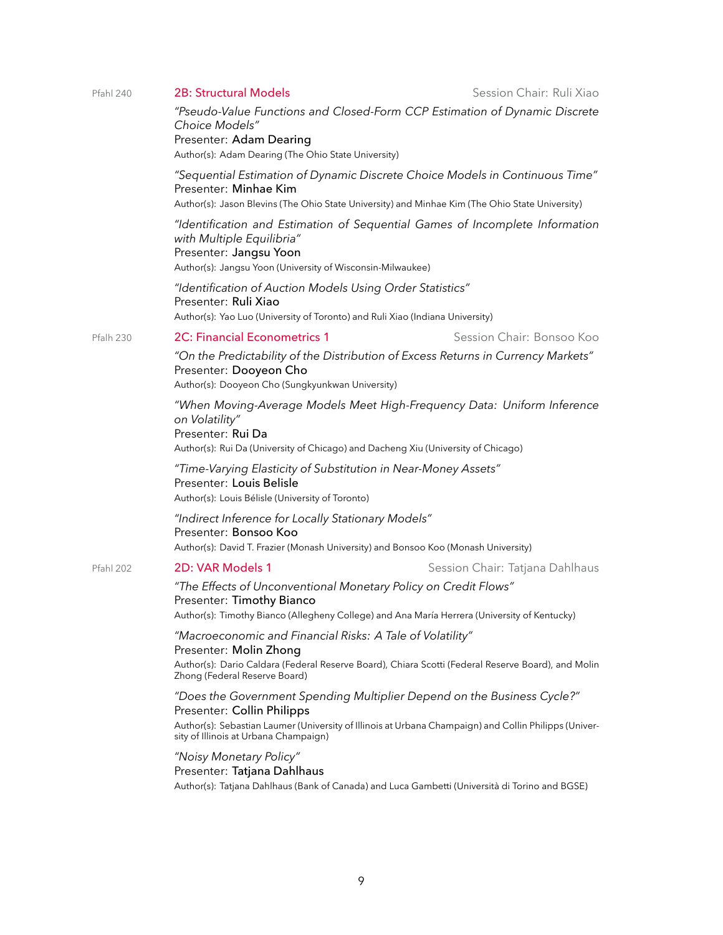| Pfahl 240 | <b>2B: Structural Models</b>                                                                                                                                                                                                                            | Session Chair: Ruli Xiao        |
|-----------|---------------------------------------------------------------------------------------------------------------------------------------------------------------------------------------------------------------------------------------------------------|---------------------------------|
|           | "Pseudo-Value Functions and Closed-Form CCP Estimation of Dynamic Discrete<br>Choice Models"<br>Presenter: Adam Dearing<br>Author(s): Adam Dearing (The Ohio State University)                                                                          |                                 |
|           | "Sequential Estimation of Dynamic Discrete Choice Models in Continuous Time"<br>Presenter: Minhae Kim<br>Author(s): Jason Blevins (The Ohio State University) and Minhae Kim (The Ohio State University)                                                |                                 |
|           | "Identification and Estimation of Sequential Games of Incomplete Information<br>with Multiple Equilibria"<br>Presenter: Jangsu Yoon<br>Author(s): Jangsu Yoon (University of Wisconsin-Milwaukee)                                                       |                                 |
|           | "Identification of Auction Models Using Order Statistics"<br>Presenter: Ruli Xiao<br>Author(s): Yao Luo (University of Toronto) and Ruli Xiao (Indiana University)                                                                                      |                                 |
| Pfalh 230 | <b>2C: Financial Econometrics 1</b>                                                                                                                                                                                                                     | Session Chair: Bonsoo Koo       |
|           | "On the Predictability of the Distribution of Excess Returns in Currency Markets"<br>Presenter: Dooyeon Cho<br>Author(s): Dooyeon Cho (Sungkyunkwan University)                                                                                         |                                 |
|           | "When Moving-Average Models Meet High-Frequency Data: Uniform Inference<br>on Volatility"<br>Presenter: Rui Da<br>Author(s): Rui Da (University of Chicago) and Dacheng Xiu (University of Chicago)                                                     |                                 |
|           | "Time-Varying Elasticity of Substitution in Near-Money Assets"<br>Presenter: Louis Belisle<br>Author(s): Louis Bélisle (University of Toronto)                                                                                                          |                                 |
|           | "Indirect Inference for Locally Stationary Models"<br>Presenter: Bonsoo Koo<br>Author(s): David T. Frazier (Monash University) and Bonsoo Koo (Monash University)                                                                                       |                                 |
| Pfahl 202 | 2D: VAR Models 1                                                                                                                                                                                                                                        | Session Chair: Tatjana Dahlhaus |
|           | "The Effects of Unconventional Monetary Policy on Credit Flows"<br>Presenter: Timothy Bianco<br>Author(s): Timothy Bianco (Allegheny College) and Ana María Herrera (University of Kentucky)                                                            |                                 |
|           | "Macroeconomic and Financial Risks: A Tale of Volatility"<br>Presenter: Molin Zhong                                                                                                                                                                     |                                 |
|           | Author(s): Dario Caldara (Federal Reserve Board), Chiara Scotti (Federal Reserve Board), and Molin<br>Zhong (Federal Reserve Board)                                                                                                                     |                                 |
|           | "Does the Government Spending Multiplier Depend on the Business Cycle?"<br>Presenter: Collin Philipps<br>Author(s): Sebastian Laumer (University of Illinois at Urbana Champaign) and Collin Philipps (Univer-<br>sity of Illinois at Urbana Champaign) |                                 |
|           | "Noisy Monetary Policy"<br>Presenter: Tatjana Dahlhaus<br>Author(s): Tatjana Dahlhaus (Bank of Canada) and Luca Gambetti (Università di Torino and BGSE)                                                                                                |                                 |
|           |                                                                                                                                                                                                                                                         |                                 |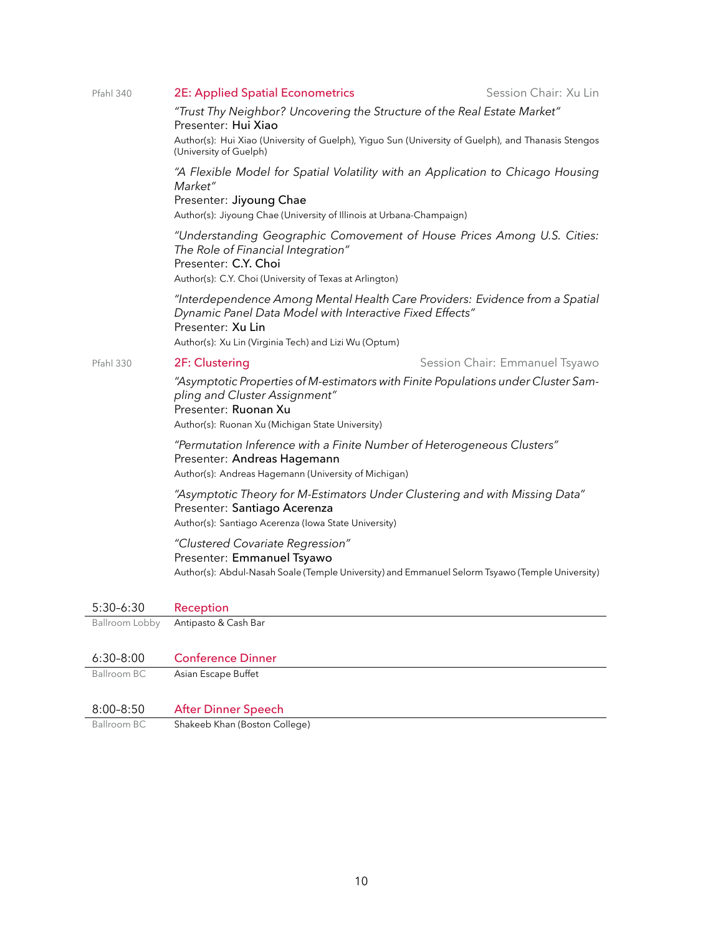| Pfahl 340          | <b>2E: Applied Spatial Econometrics</b>                                                                                                                                                                                | Session Chair: Xu Lin          |  |
|--------------------|------------------------------------------------------------------------------------------------------------------------------------------------------------------------------------------------------------------------|--------------------------------|--|
|                    | "Trust Thy Neighbor? Uncovering the Structure of the Real Estate Market"<br>Presenter: Hui Xiao                                                                                                                        |                                |  |
|                    | Author(s): Hui Xiao (University of Guelph), Yiguo Sun (University of Guelph), and Thanasis Stengos<br>(University of Guelph)                                                                                           |                                |  |
|                    | "A Flexible Model for Spatial Volatility with an Application to Chicago Housing<br>Market"                                                                                                                             |                                |  |
|                    | Presenter: Jiyoung Chae<br>Author(s): Jiyoung Chae (University of Illinois at Urbana-Champaign)                                                                                                                        |                                |  |
|                    | "Understanding Geographic Comovement of House Prices Among U.S. Cities:<br>The Role of Financial Integration"<br>Presenter: C.Y. Choi<br>Author(s): C.Y. Choi (University of Texas at Arlington)                       |                                |  |
|                    | "Interdependence Among Mental Health Care Providers: Evidence from a Spatial<br>Dynamic Panel Data Model with Interactive Fixed Effects"<br>Presenter: Xu Lin<br>Author(s): Xu Lin (Virginia Tech) and Lizi Wu (Optum) |                                |  |
| Pfahl 330          | 2F: Clustering                                                                                                                                                                                                         | Session Chair: Emmanuel Tsyawo |  |
|                    | "Asymptotic Properties of M-estimators with Finite Populations under Cluster Sam-<br>pling and Cluster Assignment"<br>Presenter: Ruonan Xu<br>Author(s): Ruonan Xu (Michigan State University)                         |                                |  |
|                    | "Permutation Inference with a Finite Number of Heterogeneous Clusters"<br>Presenter: Andreas Hagemann<br>Author(s): Andreas Hagemann (University of Michigan)                                                          |                                |  |
|                    | "Asymptotic Theory for M-Estimators Under Clustering and with Missing Data"<br>Presenter: Santiago Acerenza<br>Author(s): Santiago Acerenza (Iowa State University)                                                    |                                |  |
|                    | "Clustered Covariate Regression"<br>Presenter: Emmanuel Tsyawo<br>Author(s): Abdul-Nasah Soale (Temple University) and Emmanuel Selorm Tsyawo (Temple University)                                                      |                                |  |
| $5:30-6:30$        | Reception                                                                                                                                                                                                              |                                |  |
| Ballroom Lobby     | Antipasto & Cash Bar                                                                                                                                                                                                   |                                |  |
| $6:30 - 8:00$      | <b>Conference Dinner</b>                                                                                                                                                                                               |                                |  |
| <b>Ballroom BC</b> | Asian Escape Buffet                                                                                                                                                                                                    |                                |  |
| $8:00 - 8:50$      | <b>After Dinner Speech</b>                                                                                                                                                                                             |                                |  |
| <b>Ballroom BC</b> | Shakeeb Khan (Boston College)                                                                                                                                                                                          |                                |  |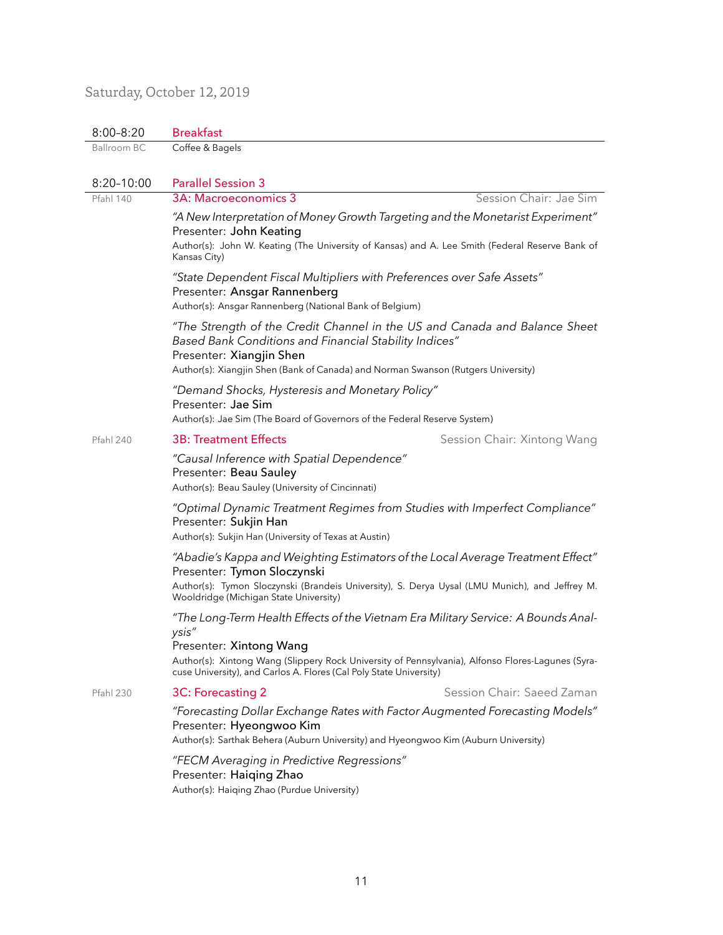# Saturday, October 12, 2019

| $8:00 - 8:20$    | <b>Breakfast</b>                                                                                                                                                                                                                                      |                             |  |
|------------------|-------------------------------------------------------------------------------------------------------------------------------------------------------------------------------------------------------------------------------------------------------|-----------------------------|--|
| Ballroom BC      | Coffee & Bagels                                                                                                                                                                                                                                       |                             |  |
|                  |                                                                                                                                                                                                                                                       |                             |  |
| $8:20 - 10:00$   | <b>Parallel Session 3</b>                                                                                                                                                                                                                             |                             |  |
| <b>Pfahl 140</b> | 3A: Macroeconomics 3                                                                                                                                                                                                                                  | Session Chair: Jae Sim      |  |
|                  | "A New Interpretation of Money Growth Targeting and the Monetarist Experiment"<br>Presenter: John Keating<br>Author(s): John W. Keating (The University of Kansas) and A. Lee Smith (Federal Reserve Bank of<br>Kansas City)                          |                             |  |
|                  | "State Dependent Fiscal Multipliers with Preferences over Safe Assets"<br>Presenter: Ansgar Rannenberg<br>Author(s): Ansgar Rannenberg (National Bank of Belgium)                                                                                     |                             |  |
|                  | "The Strength of the Credit Channel in the US and Canada and Balance Sheet<br>Based Bank Conditions and Financial Stability Indices"<br>Presenter: Xiangjin Shen<br>Author(s): Xiangjin Shen (Bank of Canada) and Norman Swanson (Rutgers University) |                             |  |
|                  | "Demand Shocks, Hysteresis and Monetary Policy"<br>Presenter: Jae Sim<br>Author(s): Jae Sim (The Board of Governors of the Federal Reserve System)                                                                                                    |                             |  |
| Pfahl 240        | <b>3B: Treatment Effects</b>                                                                                                                                                                                                                          | Session Chair: Xintong Wang |  |
|                  | "Causal Inference with Spatial Dependence"<br>Presenter: Beau Sauley<br>Author(s): Beau Sauley (University of Cincinnati)                                                                                                                             |                             |  |
|                  | "Optimal Dynamic Treatment Regimes from Studies with Imperfect Compliance"<br>Presenter: Sukjin Han<br>Author(s): Sukjin Han (University of Texas at Austin)                                                                                          |                             |  |
|                  | "Abadie's Kappa and Weighting Estimators of the Local Average Treatment Effect"<br>Presenter: Tymon Sloczynski                                                                                                                                        |                             |  |
|                  | Author(s): Tymon Sloczynski (Brandeis University), S. Derya Uysal (LMU Munich), and Jeffrey M.<br>Wooldridge (Michigan State University)                                                                                                              |                             |  |
|                  | "The Long-Term Health Effects of the Vietnam Era Military Service: A Bounds Anal-<br>ysis"<br>Presenter: Xintong Wang<br>Author(s): Xintong Wang (Slippery Rock University of Pennsylvania), Alfonso Flores-Lagunes (Syra-                            |                             |  |
|                  | cuse University), and Carlos A. Flores (Cal Poly State University)                                                                                                                                                                                    |                             |  |
| <b>Pfahl 230</b> | 3C: Forecasting 2                                                                                                                                                                                                                                     | Session Chair: Saeed Zaman  |  |
|                  | "Forecasting Dollar Exchange Rates with Factor Augmented Forecasting Models"<br>Presenter: Hyeongwoo Kim<br>Author(s): Sarthak Behera (Auburn University) and Hyeongwoo Kim (Auburn University)                                                       |                             |  |
|                  | "FECM Averaging in Predictive Regressions"<br>Presenter: Haiqing Zhao<br>Author(s): Haiqing Zhao (Purdue University)                                                                                                                                  |                             |  |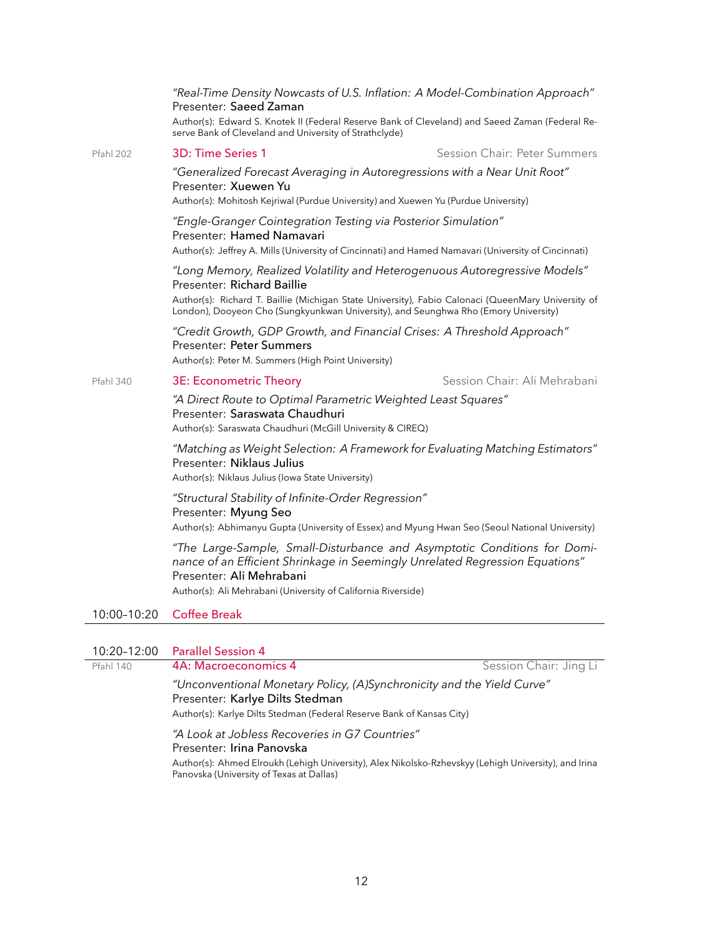|                  | "Real-Time Density Nowcasts of U.S. Inflation: A Model-Combination Approach"<br>Presenter: Saeed Zaman                                                                                                                                                                                                |                              |  |
|------------------|-------------------------------------------------------------------------------------------------------------------------------------------------------------------------------------------------------------------------------------------------------------------------------------------------------|------------------------------|--|
|                  | Author(s): Edward S. Knotek II (Federal Reserve Bank of Cleveland) and Saeed Zaman (Federal Re-<br>serve Bank of Cleveland and University of Strathclyde)                                                                                                                                             |                              |  |
| <b>Pfahl 202</b> | 3D: Time Series 1                                                                                                                                                                                                                                                                                     | Session Chair: Peter Summers |  |
|                  | "Generalized Forecast Averaging in Autoregressions with a Near Unit Root"<br>Presenter: Xuewen Yu<br>Author(s): Mohitosh Kejriwal (Purdue University) and Xuewen Yu (Purdue University)                                                                                                               |                              |  |
|                  | "Engle-Granger Cointegration Testing via Posterior Simulation"<br>Presenter: Hamed Namavari<br>Author(s): Jeffrey A. Mills (University of Cincinnati) and Hamed Namavari (University of Cincinnati)                                                                                                   |                              |  |
|                  | "Long Memory, Realized Volatility and Heterogenuous Autoregressive Models"<br>Presenter: Richard Baillie<br>Author(s): Richard T. Baillie (Michigan State University), Fabio Calonaci (QueenMary University of<br>London), Dooyeon Cho (Sungkyunkwan University), and Seunghwa Rho (Emory University) |                              |  |
|                  | "Credit Growth, GDP Growth, and Financial Crises: A Threshold Approach"<br>Presenter: Peter Summers<br>Author(s): Peter M. Summers (High Point University)                                                                                                                                            |                              |  |
| Pfahl 340        | 3E: Econometric Theory                                                                                                                                                                                                                                                                                | Session Chair: Ali Mehrabani |  |
|                  | "A Direct Route to Optimal Parametric Weighted Least Squares"<br>Presenter: Saraswata Chaudhuri<br>Author(s): Saraswata Chaudhuri (McGill University & CIREQ)                                                                                                                                         |                              |  |
|                  | "Matching as Weight Selection: A Framework for Evaluating Matching Estimators"<br>Presenter: Niklaus Julius<br>Author(s): Niklaus Julius (Iowa State University)                                                                                                                                      |                              |  |
|                  | "Structural Stability of Infinite-Order Regression"<br>Presenter: Myung Seo<br>Author(s): Abhimanyu Gupta (University of Essex) and Myung Hwan Seo (Seoul National University)                                                                                                                        |                              |  |
|                  | "The Large-Sample, Small-Disturbance and Asymptotic Conditions for Domi-<br>nance of an Efficient Shrinkage in Seemingly Unrelated Regression Equations"<br>Presenter: Ali Mehrabani<br>Author(s): Ali Mehrabani (University of California Riverside)                                                 |                              |  |
| 10:00-10:20      | <b>Coffee Break</b>                                                                                                                                                                                                                                                                                   |                              |  |
|                  |                                                                                                                                                                                                                                                                                                       |                              |  |

# 10:20–12:00 Parallel Session 4

| Pfahl 140 |  |  |
|-----------|--|--|
|-----------|--|--|

**4A: Macroeconomics 4** Session Chair: Jing Li

*"Unconventional Monetary Policy, (A)Synchronicity and the Yield Curve"* Presenter: Karlye Dilts Stedman

Author(s): Karlye Dilts Stedman (Federal Reserve Bank of Kansas City)

*"A Look at Jobless Recoveries in G7 Countries"* Presenter: Irina Panovska

Author(s): Ahmed Elroukh (Lehigh University), Alex Nikolsko-Rzhevskyy (Lehigh University), and Irina Panovska (University of Texas at Dallas)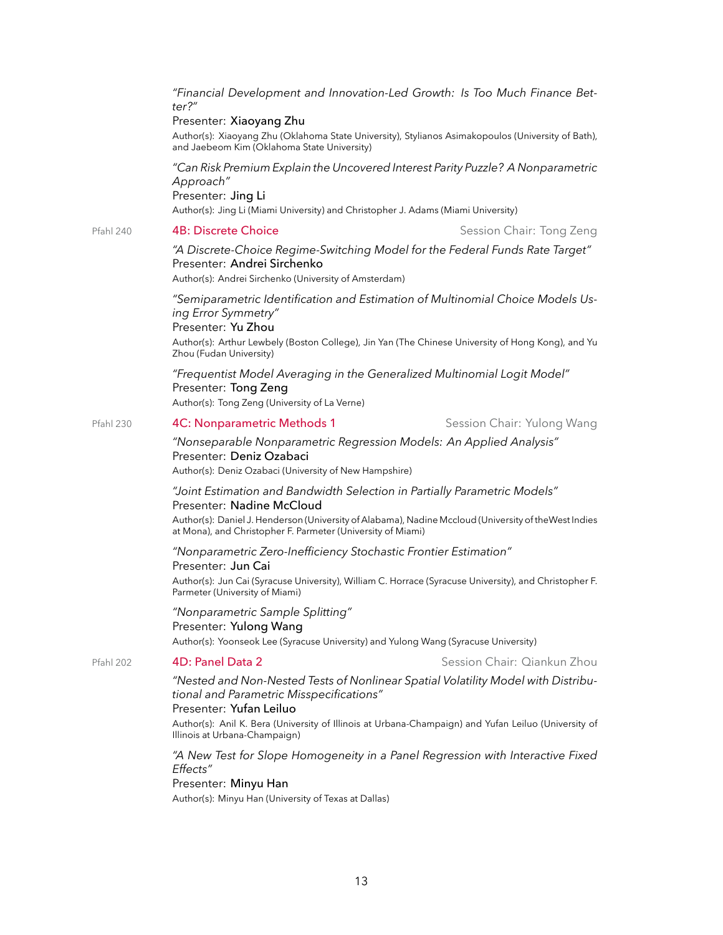*"Financial Development and Innovation-Led Growth: Is Too Much Finance Better?"*

#### Presenter: Xiaoyang Zhu

Author(s): Xiaoyang Zhu (Oklahoma State University), Stylianos Asimakopoulos (University of Bath), and Jaebeom Kim (Oklahoma State University)

*"Can Risk Premium Explain the Uncovered Interest Parity Puzzle? A Nonparametric Approach"* Presenter: Jing Li Author(s): Jing Li (Miami University) and Christopher J. Adams (Miami University)

#### Pfahl 240 **4B: Discrete Choice Session Chair: Tong Zeng**

### *"A Discrete-Choice Regime-Switching Model for the Federal Funds Rate Target"* Presenter: Andrei Sirchenko

Author(s): Andrei Sirchenko (University of Amsterdam)

*"Semiparametric Identification and Estimation of Multinomial Choice Models Using Error Symmetry"* Presenter: Yu Zhou Author(s): Arthur Lewbely (Boston College), Jin Yan (The Chinese University of Hong Kong), and Yu Zhou (Fudan University)

*"Frequentist Model Averaging in the Generalized Multinomial Logit Model"* Presenter: Tong Zeng Author(s): Tong Zeng (University of La Verne)

#### Pfahl 230 **4C: Nonparametric Methods 1** Session Chair: Yulong Wang

#### *"Nonseparable Nonparametric Regression Models: An Applied Analysis"* Presenter: Deniz Ozabaci Author(s): Deniz Ozabaci (University of New Hampshire)

#### *"Joint Estimation and Bandwidth Selection in Partially Parametric Models"* Presenter: Nadine McCloud

Author(s): Daniel J. Henderson (University of Alabama), Nadine Mccloud (University of theWest Indies at Mona), and Christopher F. Parmeter (University of Miami)

#### *"Nonparametric Zero-Inefficiency Stochastic Frontier Estimation"* Presenter: Jun Cai

Author(s): Jun Cai (Syracuse University), William C. Horrace (Syracuse University), and Christopher F. Parmeter (University of Miami)

*"Nonparametric Sample Splitting"* Presenter: Yulong Wang Author(s): Yoonseok Lee (Syracuse University) and Yulong Wang (Syracuse University)

#### Pfahl 202 **4D: Panel Data 2** Session Chair: Qiankun Zhou

## *"Nested and Non-Nested Tests of Nonlinear Spatial Volatility Model with Distributional and Parametric Misspecifications"*

#### Presenter: Yufan Leiluo

Author(s): Anil K. Bera (University of Illinois at Urbana-Champaign) and Yufan Leiluo (University of Illinois at Urbana-Champaign)

*"A New Test for Slope Homogeneity in a Panel Regression with Interactive Fixed Effects"*

# Presenter: Minyu Han

Author(s): Minyu Han (University of Texas at Dallas)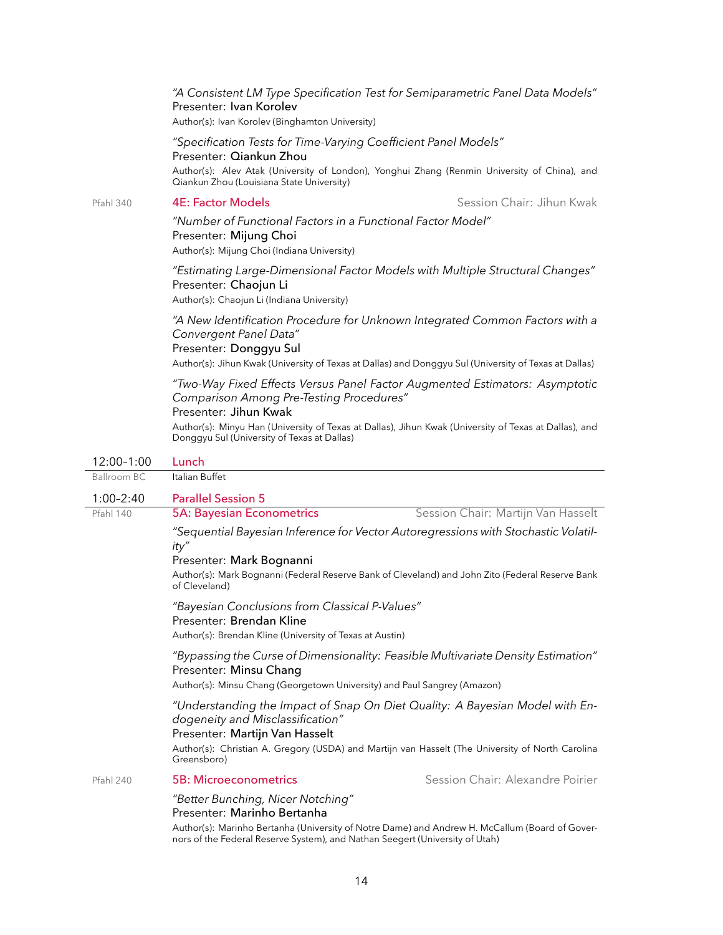|                  | "A Consistent LM Type Specification Test for Semiparametric Panel Data Models"<br>Presenter: Ivan Korolev<br>Author(s): Ivan Korolev (Binghamton University)                                                                                                                                             |                           |  |
|------------------|----------------------------------------------------------------------------------------------------------------------------------------------------------------------------------------------------------------------------------------------------------------------------------------------------------|---------------------------|--|
|                  | "Specification Tests for Time-Varying Coefficient Panel Models"<br>Presenter: Qiankun Zhou<br>Author(s): Alev Atak (University of London), Yonghui Zhang (Renmin University of China), and<br>Qiankun Zhou (Louisiana State University)                                                                  |                           |  |
| <b>Pfahl 340</b> | <b>4E: Factor Models</b>                                                                                                                                                                                                                                                                                 | Session Chair: Jihun Kwak |  |
|                  | "Number of Functional Factors in a Functional Factor Model"<br>Presenter: Mijung Choi<br>Author(s): Mijung Choi (Indiana University)                                                                                                                                                                     |                           |  |
|                  | "Estimating Large-Dimensional Factor Models with Multiple Structural Changes"<br>Presenter: Chaojun Li<br>Author(s): Chaojun Li (Indiana University)                                                                                                                                                     |                           |  |
|                  | "A New Identification Procedure for Unknown Integrated Common Factors with a<br>Convergent Panel Data"<br>Presenter: Donggyu Sul<br>Author(s): Jihun Kwak (University of Texas at Dallas) and Donggyu Sul (University of Texas at Dallas)                                                                |                           |  |
|                  | "Two-Way Fixed Effects Versus Panel Factor Augmented Estimators: Asymptotic<br>Comparison Among Pre-Testing Procedures"<br>Presenter: Jihun Kwak<br>Author(s): Minyu Han (University of Texas at Dallas), Jihun Kwak (University of Texas at Dallas), and<br>Donggyu Sul (University of Texas at Dallas) |                           |  |
| 12:00-1:00       | Lunch                                                                                                                                                                                                                                                                                                    |                           |  |

| 12:00-1:00  | Lunch                                                                                                                                                                                                                                                                                                                                                                                 |                                                                  |  |
|-------------|---------------------------------------------------------------------------------------------------------------------------------------------------------------------------------------------------------------------------------------------------------------------------------------------------------------------------------------------------------------------------------------|------------------------------------------------------------------|--|
| Ballroom BC | Italian Buffet                                                                                                                                                                                                                                                                                                                                                                        |                                                                  |  |
| $1:00-2:40$ | <b>Parallel Session 5</b>                                                                                                                                                                                                                                                                                                                                                             |                                                                  |  |
| Pfahl 140   | <b>5A: Bayesian Econometrics</b>                                                                                                                                                                                                                                                                                                                                                      | Session Chair: Martijn Van Hasselt                               |  |
|             | "Sequential Bayesian Inference for Vector Autoregressions with Stochastic Volatil-<br>ity"<br>Presenter: Mark Bognanni<br>Author(s): Mark Bognanni (Federal Reserve Bank of Cleveland) and John Zito (Federal Reserve Bank<br>of Cleveland)<br>"Bayesian Conclusions from Classical P-Values"<br>Presenter: Brendan Kline<br>Author(s): Brendan Kline (University of Texas at Austin) |                                                                  |  |
|             |                                                                                                                                                                                                                                                                                                                                                                                       |                                                                  |  |
|             | "Bypassing the Curse of Dimensionality: Feasible Multivariate Density Estimation"<br>Presenter: Minsu Chang<br>Author(s): Minsu Chang (Georgetown University) and Paul Sangrey (Amazon)                                                                                                                                                                                               |                                                                  |  |
|             | "Understanding the Impact of Snap On Diet Quality: A Bayesian Model with En-<br>dogeneity and Misclassification"<br>Presenter: Martijn Van Hasselt<br>Author(s): Christian A. Gregory (USDA) and Martijn van Hasselt (The University of North Carolina<br>Greensboro)                                                                                                                 |                                                                  |  |
| Pfahl 240   | 5B: Microeconometrics                                                                                                                                                                                                                                                                                                                                                                 | Session Chair: Alexandre Poirier                                 |  |
|             | "Better Bunching, Nicer Notching"<br>Presenter: Marinho Bertanha                                                                                                                                                                                                                                                                                                                      | $\lambda$ is a set of the set of the set of the set of $\lambda$ |  |

Author(s): Marinho Bertanha (University of Notre Dame) and Andrew H. McCallum (Board of Governors of the Federal Reserve System), and Nathan Seegert (University of Utah)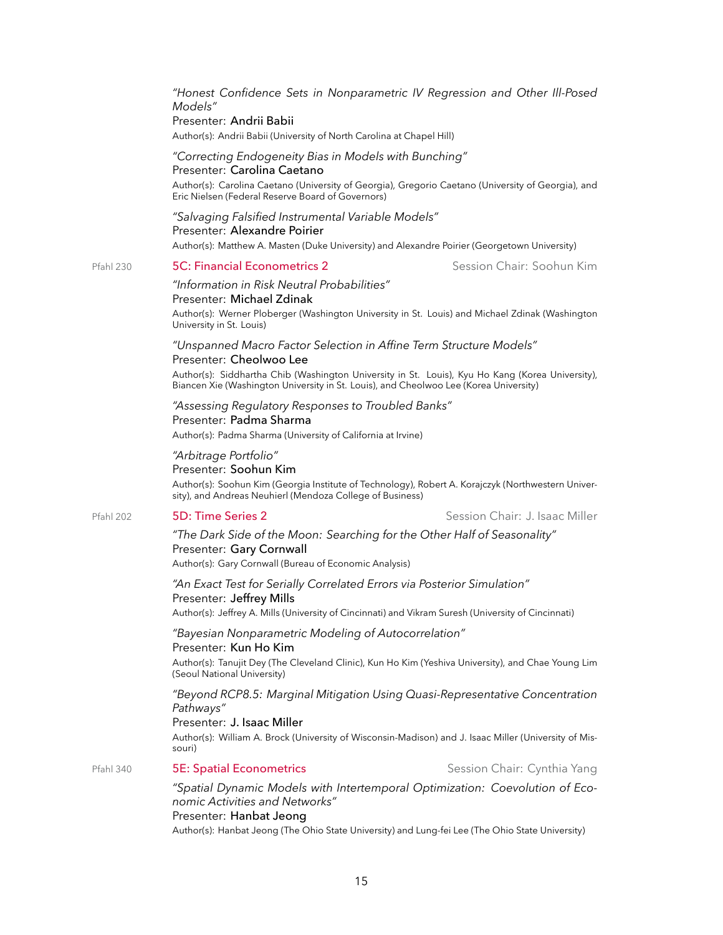*"Honest Confidence Sets in Nonparametric IV Regression and Other Ill-Posed Models"*

#### Presenter: Andrii Babii

Author(s): Andrii Babii (University of North Carolina at Chapel Hill)

#### *"Correcting Endogeneity Bias in Models with Bunching"* Presenter: Carolina Caetano

Author(s): Carolina Caetano (University of Georgia), Gregorio Caetano (University of Georgia), and Eric Nielsen (Federal Reserve Board of Governors)

#### *"Salvaging Falsified Instrumental Variable Models"* Presenter: Alexandre Poirier

Author(s): Matthew A. Masten (Duke University) and Alexandre Poirier (Georgetown University)

#### Pfahl 230 5C: Financial Econometrics 2 Session Chair: Soohun Kim

## *"Information in Risk Neutral Probabilities"*

#### Presenter: Michael Zdinak

Author(s): Werner Ploberger (Washington University in St. Louis) and Michael Zdinak (Washington University in St. Louis)

#### *"Unspanned Macro Factor Selection in Affine Term Structure Models"* Presenter: Cheolwoo Lee

Author(s): Siddhartha Chib (Washington University in St. Louis), Kyu Ho Kang (Korea University), Biancen Xie (Washington University in St. Louis), and Cheolwoo Lee (Korea University)

## *"Assessing Regulatory Responses to Troubled Banks"*

#### Presenter: Padma Sharma

Author(s): Padma Sharma (University of California at Irvine)

# *"Arbitrage Portfolio"*

#### Presenter: Soohun Kim

Author(s): Soohun Kim (Georgia Institute of Technology), Robert A. Korajczyk (Northwestern University), and Andreas Neuhierl (Mendoza College of Business)

#### Pfahl 202 5D: Time Series 2 Session Chair: J. Isaac Miller

# *"The Dark Side of the Moon: Searching for the Other Half of Seasonality"* Presenter: Gary Cornwall

Author(s): Gary Cornwall (Bureau of Economic Analysis)

*"An Exact Test for Serially Correlated Errors via Posterior Simulation"* Presenter: Jeffrey Mills Author(s): Jeffrey A. Mills (University of Cincinnati) and Vikram Suresh (University of Cincinnati)

# *"Bayesian Nonparametric Modeling of Autocorrelation"*

#### Presenter: Kun Ho Kim

Author(s): Tanujit Dey (The Cleveland Clinic), Kun Ho Kim (Yeshiva University), and Chae Young Lim (Seoul National University)

#### *"Beyond RCP8.5: Marginal Mitigation Using Quasi-Representative Concentration Pathways"*

#### Presenter: J. Isaac Miller

Author(s): William A. Brock (University of Wisconsin-Madison) and J. Isaac Miller (University of Missouri)

## Pfahl 340 5E: Spatial Econometrics Session Chair: Cynthia Yang

*"Spatial Dynamic Models with Intertemporal Optimization: Coevolution of Economic Activities and Networks"*

#### Presenter: Hanbat Jeong

Author(s): Hanbat Jeong (The Ohio State University) and Lung-fei Lee (The Ohio State University)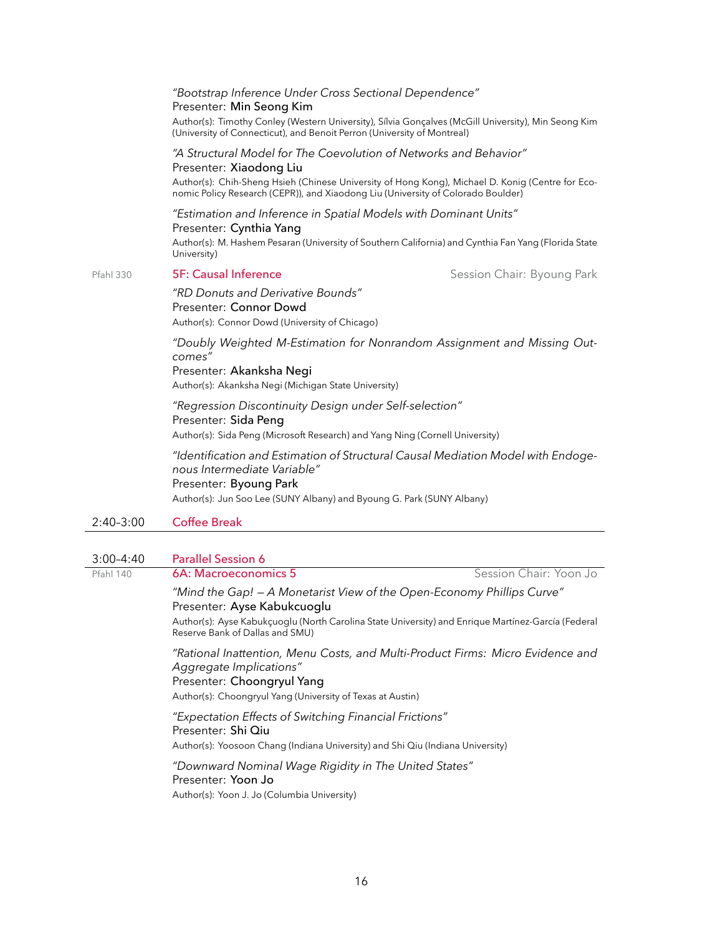|                        | "Bootstrap Inference Under Cross Sectional Dependence"<br>Presenter: Min Seong Kim                                                                                                                                                                                                   |                            |  |  |
|------------------------|--------------------------------------------------------------------------------------------------------------------------------------------------------------------------------------------------------------------------------------------------------------------------------------|----------------------------|--|--|
|                        | Author(s): Timothy Conley (Western University), Sílvia Gonçalves (McGill University), Min Seong Kim<br>(University of Connecticut), and Benoit Perron (University of Montreal)                                                                                                       |                            |  |  |
|                        | "A Structural Model for The Coevolution of Networks and Behavior"<br>Presenter: Xiaodong Liu<br>Author(s): Chih-Sheng Hsieh (Chinese University of Hong Kong), Michael D. Konig (Centre for Eco-<br>nomic Policy Research (CEPR)), and Xiaodong Liu (University of Colorado Boulder) |                            |  |  |
|                        | "Estimation and Inference in Spatial Models with Dominant Units"<br>Presenter: Cynthia Yang<br>Author(s): M. Hashem Pesaran (University of Southern California) and Cynthia Fan Yang (Florida State<br>University)                                                                   |                            |  |  |
| <b>Pfahl 330</b>       | <b>5F: Causal Inference</b>                                                                                                                                                                                                                                                          | Session Chair: Byoung Park |  |  |
|                        | "RD Donuts and Derivative Bounds"<br>Presenter: Connor Dowd<br>Author(s): Connor Dowd (University of Chicago)                                                                                                                                                                        |                            |  |  |
|                        | "Doubly Weighted M-Estimation for Nonrandom Assignment and Missing Out-<br>comes"<br>Presenter: Akanksha Negi<br>Author(s): Akanksha Negi (Michigan State University)                                                                                                                |                            |  |  |
|                        | "Regression Discontinuity Design under Self-selection"<br>Presenter: Sida Peng<br>Author(s): Sida Peng (Microsoft Research) and Yang Ning (Cornell University)                                                                                                                       |                            |  |  |
|                        | "Identification and Estimation of Structural Causal Mediation Model with Endoge-<br>nous Intermediate Variable"<br>Presenter: Byoung Park<br>Author(s): Jun Soo Lee (SUNY Albany) and Byoung G. Park (SUNY Albany)                                                                   |                            |  |  |
| 2:40-3:00              | <b>Coffee Break</b>                                                                                                                                                                                                                                                                  |                            |  |  |
|                        |                                                                                                                                                                                                                                                                                      |                            |  |  |
| 3:00-4:40<br>Pfahl 140 | <b>Parallel Session 6</b><br>6A: Macroeconomics 5                                                                                                                                                                                                                                    | Session Chair: Yoon Jo     |  |  |
|                        | "Mind the Gap! - A Monetarist View of the Open-Economy Phillips Curve"<br>Presenter: Ayse Kabukcuoglu<br>Author(s): Ayse Kabukçuoglu (North Carolina State University) and Enrique Martínez-García (Federal                                                                          |                            |  |  |
|                        | Reserve Bank of Dallas and SMU)<br>"Rational Inattention, Menu Costs, and Multi-Product Firms: Micro Evidence and<br>Aggregate Implications"<br>Presenter: Choongryul Yang<br>Author(s): Choongryul Yang (University of Texas at Austin)                                             |                            |  |  |
|                        | "Expectation Effects of Switching Financial Frictions"<br>Presenter: Shi Qiu<br>Author(s): Yoosoon Chang (Indiana University) and Shi Qiu (Indiana University)                                                                                                                       |                            |  |  |
|                        | "Downward Nominal Wage Rigidity in The United States"<br>Presenter: Yoon Jo                                                                                                                                                                                                          |                            |  |  |

Author(s): Yoon J. Jo (Columbia University)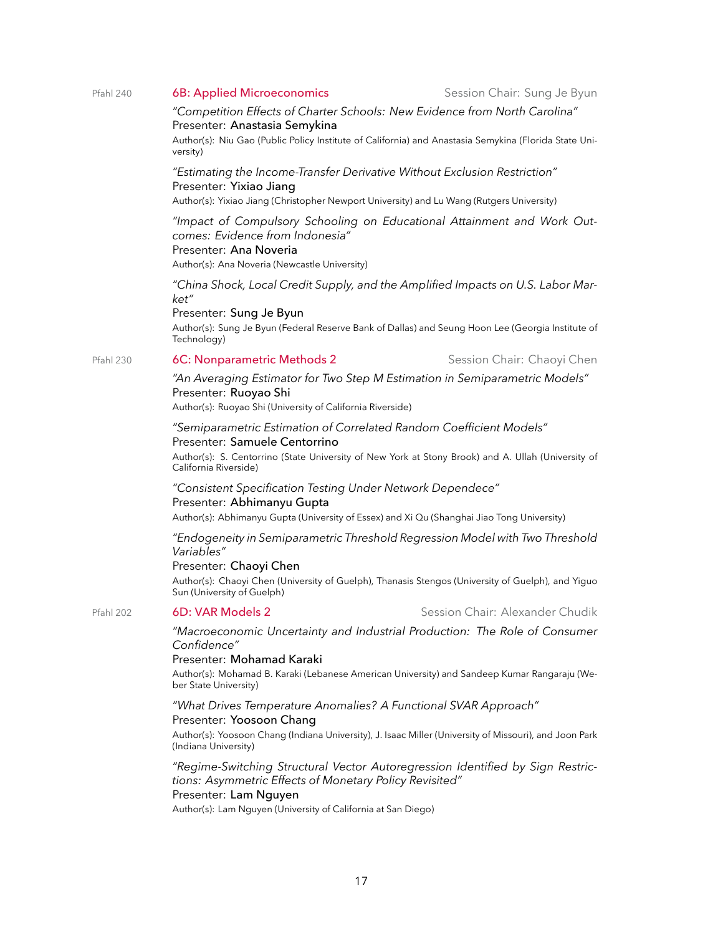#### Pfahl 240 6B: Applied Microeconomics Session Chair: Sung Je Byun

### *"Competition Effects of Charter Schools: New Evidence from North Carolina"* Presenter: Anastasia Semykina

Author(s): Niu Gao (Public Policy Institute of California) and Anastasia Semykina (Florida State University)

## *"Estimating the Income-Transfer Derivative Without Exclusion Restriction"* Presenter: Yixiao Jiang

Author(s): Yixiao Jiang (Christopher Newport University) and Lu Wang (Rutgers University)

# *"Impact of Compulsory Schooling on Educational Attainment and Work Outcomes: Evidence from Indonesia"*

# Presenter: Ana Noveria

Author(s): Ana Noveria (Newcastle University)

*"China Shock, Local Credit Supply, and the Amplified Impacts on U.S. Labor Market"*

# Presenter: Sung Je Byun

Author(s): Sung Je Byun (Federal Reserve Bank of Dallas) and Seung Hoon Lee (Georgia Institute of Technology)

# Pfahl 230 **6C: Nonparametric Methods 2** Session Chair: Chaoyi Chen

*"An Averaging Estimator for Two Step M Estimation in Semiparametric Models"* Presenter: Ruoyao Shi

Author(s): Ruoyao Shi (University of California Riverside)

### *"Semiparametric Estimation of Correlated Random Coefficient Models"* Presenter: Samuele Centorrino

Author(s): S. Centorrino (State University of New York at Stony Brook) and A. Ullah (University of California Riverside)

## *"Consistent Specification Testing Under Network Dependece"* Presenter: Abhimanyu Gupta

Author(s): Abhimanyu Gupta (University of Essex) and Xi Qu (Shanghai Jiao Tong University)

## *"Endogeneity in Semiparametric Threshold Regression Model with Two Threshold Variables"*

## Presenter: Chaoyi Chen

Author(s): Chaoyi Chen (University of Guelph), Thanasis Stengos (University of Guelph), and Yiguo Sun (University of Guelph)

# Pfahl 202 **6D: VAR Models 2** Session Chair: Alexander Chudik

### *"Macroeconomic Uncertainty and Industrial Production: The Role of Consumer Confidence"*

# Presenter: Mohamad Karaki

Author(s): Mohamad B. Karaki (Lebanese American University) and Sandeep Kumar Rangaraju (Weber State University)

#### *"What Drives Temperature Anomalies? A Functional SVAR Approach"* Presenter: Yoosoon Chang

Author(s): Yoosoon Chang (Indiana University), J. Isaac Miller (University of Missouri), and Joon Park (Indiana University)

# *"Regime-Switching Structural Vector Autoregression Identified by Sign Restrictions: Asymmetric Effects of Monetary Policy Revisited"*

# Presenter: Lam Nguyen

Author(s): Lam Nguyen (University of California at San Diego)